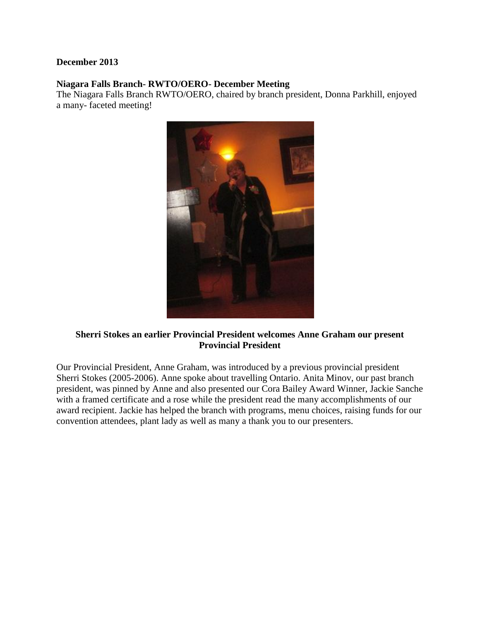## **December 2013**

## **Niagara Falls Branch- RWTO/OERO- December Meeting**

The Niagara Falls Branch RWTO/OERO, chaired by branch president, Donna Parkhill, enjoyed a many- faceted meeting!



## **Sherri Stokes an earlier Provincial President welcomes Anne Graham our present Provincial President**

Our Provincial President, Anne Graham, was introduced by a previous provincial president Sherri Stokes (2005-2006). Anne spoke about travelling Ontario. Anita Minov, our past branch president, was pinned by Anne and also presented our Cora Bailey Award Winner, Jackie Sanche with a framed certificate and a rose while the president read the many accomplishments of our award recipient. Jackie has helped the branch with programs, menu choices, raising funds for our convention attendees, plant lady as well as many a thank you to our presenters.